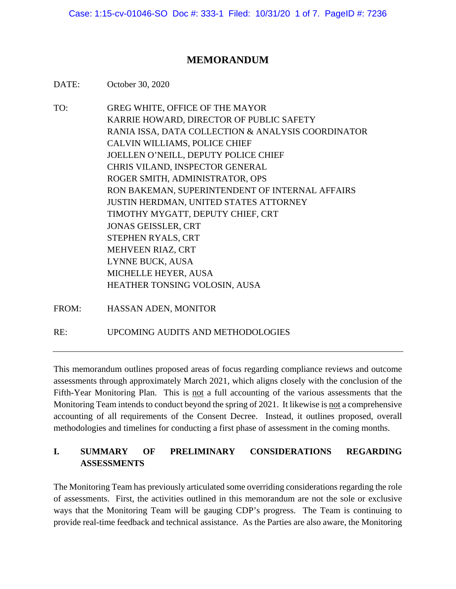Case: 1:15-cv-01046-SO Doc #: 333-1 Filed: 10/31/20 1 of 7. PageID #: 7236

#### **MEMORANDUM**

DATE: October 30, 2020

- TO: GREG WHITE, OFFICE OF THE MAYOR KARRIE HOWARD, DIRECTOR OF PUBLIC SAFETY RANIA ISSA, DATA COLLECTION & ANALYSIS COORDINATOR CALVIN WILLIAMS, POLICE CHIEF JOELLEN O'NEILL, DEPUTY POLICE CHIEF CHRIS VILAND, INSPECTOR GENERAL ROGER SMITH, ADMINISTRATOR, OPS RON BAKEMAN, SUPERINTENDENT OF INTERNAL AFFAIRS JUSTIN HERDMAN, UNITED STATES ATTORNEY TIMOTHY MYGATT, DEPUTY CHIEF, CRT JONAS GEISSLER, CRT STEPHEN RYALS, CRT MEHVEEN RIAZ, CRT LYNNE BUCK, AUSA MICHELLE HEYER, AUSA HEATHER TONSING VOLOSIN, AUSA
- FROM: HASSAN ADEN, MONITOR

RE: UPCOMING AUDITS AND METHODOLOGIES

This memorandum outlines proposed areas of focus regarding compliance reviews and outcome assessments through approximately March 2021, which aligns closely with the conclusion of the Fifth-Year Monitoring Plan. This is not a full accounting of the various assessments that the Monitoring Team intends to conduct beyond the spring of 2021. It likewise is not a comprehensive accounting of all requirements of the Consent Decree. Instead, it outlines proposed, overall methodologies and timelines for conducting a first phase of assessment in the coming months.

# **I. SUMMARY OF PRELIMINARY CONSIDERATIONS REGARDING ASSESSMENTS**

The Monitoring Team has previously articulated some overriding considerations regarding the role of assessments. First, the activities outlined in this memorandum are not the sole or exclusive ways that the Monitoring Team will be gauging CDP's progress. The Team is continuing to provide real-time feedback and technical assistance. As the Parties are also aware, the Monitoring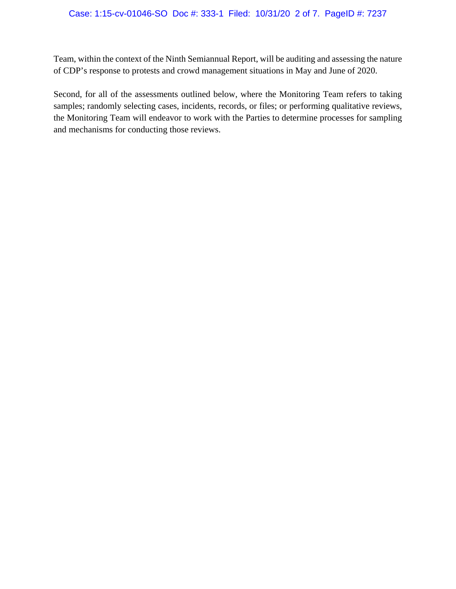Team, within the context of the Ninth Semiannual Report, will be auditing and assessing the nature of CDP's response to protests and crowd management situations in May and June of 2020.

Second, for all of the assessments outlined below, where the Monitoring Team refers to taking samples; randomly selecting cases, incidents, records, or files; or performing qualitative reviews, the Monitoring Team will endeavor to work with the Parties to determine processes for sampling and mechanisms for conducting those reviews.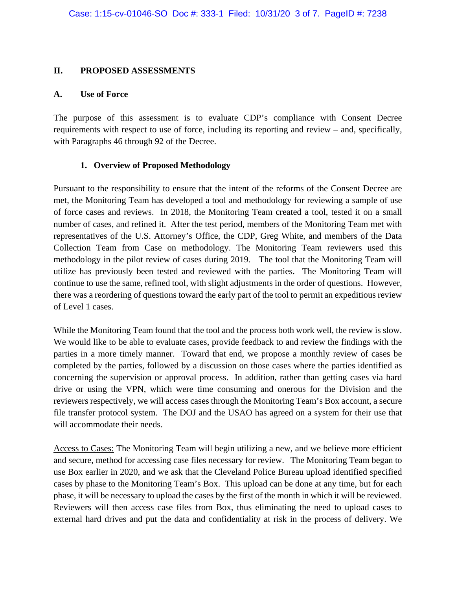#### **II. PROPOSED ASSESSMENTS**

#### **A. Use of Force**

The purpose of this assessment is to evaluate CDP's compliance with Consent Decree requirements with respect to use of force, including its reporting and review – and, specifically, with Paragraphs 46 through 92 of the Decree.

#### **1. Overview of Proposed Methodology**

Pursuant to the responsibility to ensure that the intent of the reforms of the Consent Decree are met, the Monitoring Team has developed a tool and methodology for reviewing a sample of use of force cases and reviews. In 2018, the Monitoring Team created a tool, tested it on a small number of cases, and refined it. After the test period, members of the Monitoring Team met with representatives of the U.S. Attorney's Office, the CDP, Greg White, and members of the Data Collection Team from Case on methodology. The Monitoring Team reviewers used this methodology in the pilot review of cases during 2019. The tool that the Monitoring Team will utilize has previously been tested and reviewed with the parties. The Monitoring Team will continue to use the same, refined tool, with slight adjustments in the order of questions. However, there was a reordering of questions toward the early part of the tool to permit an expeditious review of Level 1 cases.

While the Monitoring Team found that the tool and the process both work well, the review is slow. We would like to be able to evaluate cases, provide feedback to and review the findings with the parties in a more timely manner. Toward that end, we propose a monthly review of cases be completed by the parties, followed by a discussion on those cases where the parties identified as concerning the supervision or approval process. In addition, rather than getting cases via hard drive or using the VPN, which were time consuming and onerous for the Division and the reviewers respectively, we will access cases through the Monitoring Team's Box account, a secure file transfer protocol system. The DOJ and the USAO has agreed on a system for their use that will accommodate their needs.

Access to Cases: The Monitoring Team will begin utilizing a new, and we believe more efficient and secure, method for accessing case files necessary for review. The Monitoring Team began to use Box earlier in 2020, and we ask that the Cleveland Police Bureau upload identified specified cases by phase to the Monitoring Team's Box. This upload can be done at any time, but for each phase, it will be necessary to upload the cases by the first of the month in which it will be reviewed. Reviewers will then access case files from Box, thus eliminating the need to upload cases to external hard drives and put the data and confidentiality at risk in the process of delivery. We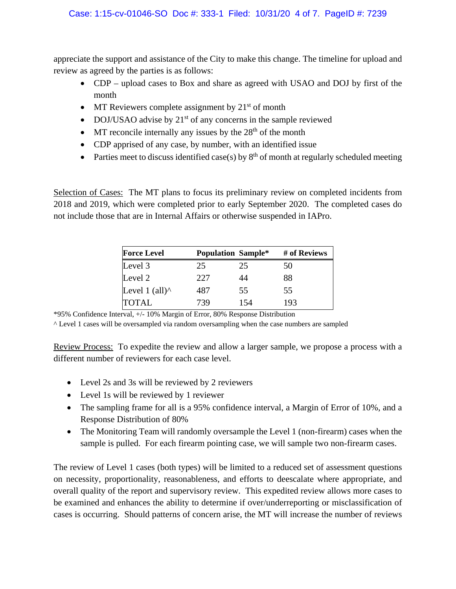appreciate the support and assistance of the City to make this change. The timeline for upload and review as agreed by the parties is as follows:

- CDP upload cases to Box and share as agreed with USAO and DOJ by first of the month
- MT Reviewers complete assignment by  $21<sup>st</sup>$  of month
- DOJ/USAO advise by  $21^{st}$  of any concerns in the sample reviewed
- MT reconcile internally any issues by the  $28<sup>th</sup>$  of the month
- CDP apprised of any case, by number, with an identified issue
- Parties meet to discuss identified case(s) by  $8<sup>th</sup>$  of month at regularly scheduled meeting

Selection of Cases: The MT plans to focus its preliminary review on completed incidents from 2018 and 2019, which were completed prior to early September 2020. The completed cases do not include those that are in Internal Affairs or otherwise suspended in IAPro.

| <b>Force Level</b>     | <b>Population Sample*</b> |     | # of Reviews |  |
|------------------------|---------------------------|-----|--------------|--|
| Level 3                | 25                        | 25  | 50           |  |
| Level 2                | 227                       | 44  | 88           |  |
| Level 1 (all) $\wedge$ | 487                       | 55  | 55           |  |
| <b>TOTAL</b>           | 739                       | 154 | 193          |  |

\*95% Confidence Interval, +/- 10% Margin of Error, 80% Response Distribution

^ Level 1 cases will be oversampled via random oversampling when the case numbers are sampled

Review Process: To expedite the review and allow a larger sample, we propose a process with a different number of reviewers for each case level.

- Level 2s and 3s will be reviewed by 2 reviewers
- Level 1s will be reviewed by 1 reviewer
- The sampling frame for all is a 95% confidence interval, a Margin of Error of 10%, and a Response Distribution of 80%
- The Monitoring Team will randomly oversample the Level 1 (non-firearm) cases when the sample is pulled. For each firearm pointing case, we will sample two non-firearm cases.

The review of Level 1 cases (both types) will be limited to a reduced set of assessment questions on necessity, proportionality, reasonableness, and efforts to deescalate where appropriate, and overall quality of the report and supervisory review. This expedited review allows more cases to be examined and enhances the ability to determine if over/underreporting or misclassification of cases is occurring. Should patterns of concern arise, the MT will increase the number of reviews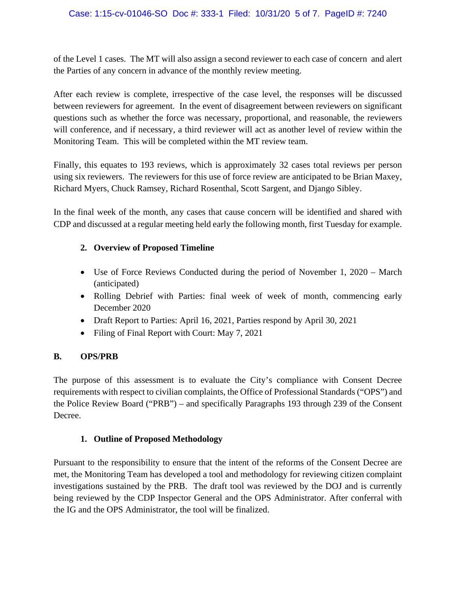of the Level 1 cases. The MT will also assign a second reviewer to each case of concern and alert the Parties of any concern in advance of the monthly review meeting.

After each review is complete, irrespective of the case level, the responses will be discussed between reviewers for agreement. In the event of disagreement between reviewers on significant questions such as whether the force was necessary, proportional, and reasonable, the reviewers will conference, and if necessary, a third reviewer will act as another level of review within the Monitoring Team. This will be completed within the MT review team.

Finally, this equates to 193 reviews, which is approximately 32 cases total reviews per person using six reviewers. The reviewers for this use of force review are anticipated to be Brian Maxey, Richard Myers, Chuck Ramsey, Richard Rosenthal, Scott Sargent, and Django Sibley.

In the final week of the month, any cases that cause concern will be identified and shared with CDP and discussed at a regular meeting held early the following month, first Tuesday for example.

# **2. Overview of Proposed Timeline**

- Use of Force Reviews Conducted during the period of November 1, 2020 March (anticipated)
- Rolling Debrief with Parties: final week of week of month, commencing early December 2020
- Draft Report to Parties: April 16, 2021, Parties respond by April 30, 2021
- Filing of Final Report with Court: May 7, 2021

# **B. OPS/PRB**

The purpose of this assessment is to evaluate the City's compliance with Consent Decree requirements with respect to civilian complaints, the Office of Professional Standards ("OPS") and the Police Review Board ("PRB") – and specifically Paragraphs 193 through 239 of the Consent Decree.

# **1. Outline of Proposed Methodology**

Pursuant to the responsibility to ensure that the intent of the reforms of the Consent Decree are met, the Monitoring Team has developed a tool and methodology for reviewing citizen complaint investigations sustained by the PRB. The draft tool was reviewed by the DOJ and is currently being reviewed by the CDP Inspector General and the OPS Administrator. After conferral with the IG and the OPS Administrator, the tool will be finalized.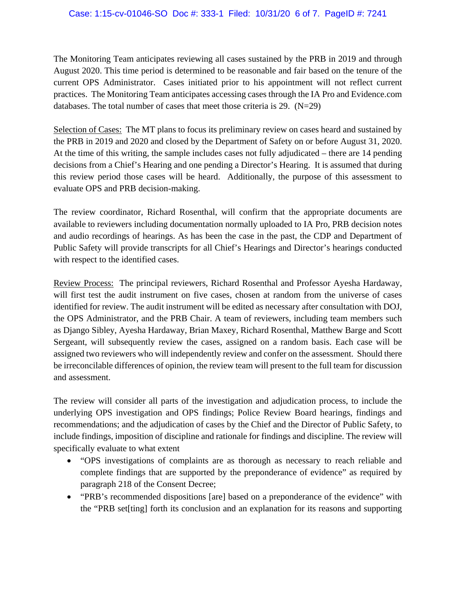#### Case: 1:15-cv-01046-SO Doc #: 333-1 Filed: 10/31/20 6 of 7. PageID #: 7241

The Monitoring Team anticipates reviewing all cases sustained by the PRB in 2019 and through August 2020. This time period is determined to be reasonable and fair based on the tenure of the current OPS Administrator. Cases initiated prior to his appointment will not reflect current practices. The Monitoring Team anticipates accessing cases through the IA Pro and Evidence.com databases. The total number of cases that meet those criteria is  $29. (N=29)$ 

Selection of Cases: The MT plans to focus its preliminary review on cases heard and sustained by the PRB in 2019 and 2020 and closed by the Department of Safety on or before August 31, 2020. At the time of this writing, the sample includes cases not fully adjudicated – there are 14 pending decisions from a Chief's Hearing and one pending a Director's Hearing. It is assumed that during this review period those cases will be heard. Additionally, the purpose of this assessment to evaluate OPS and PRB decision-making.

The review coordinator, Richard Rosenthal, will confirm that the appropriate documents are available to reviewers including documentation normally uploaded to IA Pro, PRB decision notes and audio recordings of hearings. As has been the case in the past, the CDP and Department of Public Safety will provide transcripts for all Chief's Hearings and Director's hearings conducted with respect to the identified cases.

Review Process: The principal reviewers, Richard Rosenthal and Professor Ayesha Hardaway, will first test the audit instrument on five cases, chosen at random from the universe of cases identified for review. The audit instrument will be edited as necessary after consultation with DOJ, the OPS Administrator, and the PRB Chair. A team of reviewers, including team members such as Django Sibley, Ayesha Hardaway, Brian Maxey, Richard Rosenthal, Matthew Barge and Scott Sergeant, will subsequently review the cases, assigned on a random basis. Each case will be assigned two reviewers who will independently review and confer on the assessment. Should there be irreconcilable differences of opinion, the review team will present to the full team for discussion and assessment.

The review will consider all parts of the investigation and adjudication process, to include the underlying OPS investigation and OPS findings; Police Review Board hearings, findings and recommendations; and the adjudication of cases by the Chief and the Director of Public Safety, to include findings, imposition of discipline and rationale for findings and discipline. The review will specifically evaluate to what extent

- "OPS investigations of complaints are as thorough as necessary to reach reliable and complete findings that are supported by the preponderance of evidence" as required by paragraph 218 of the Consent Decree;
- "PRB's recommended dispositions [are] based on a preponderance of the evidence" with the "PRB set[ting] forth its conclusion and an explanation for its reasons and supporting